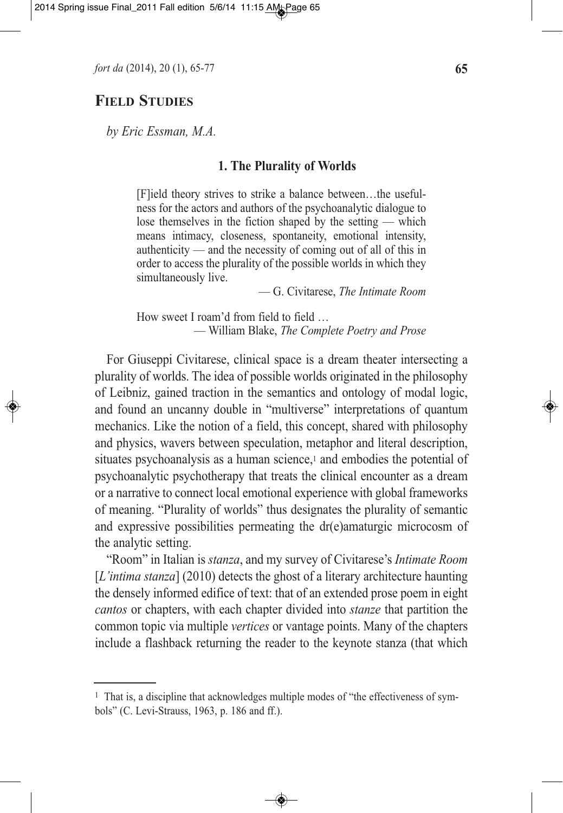*fort da* (2014), 20 (1), 65-77 **65**

# **FIELD STUDIES**

*by Eric Essman, M.A.*

## **1. The Plurality of Worlds**

[F]ield theory strives to strike a balance between…the usefulness for the actors and authors of the psychoanalytic dialogue to lose themselves in the fiction shaped by the setting — which means intimacy, closeness, spontaneity, emotional intensity, authenticity — and the necessity of coming out of all of this in order to access the plurality of the possible worlds in which they simultaneously live.

— G. Civitarese, *The Intimate Room*

How sweet I roam'd from field to field ... — William Blake, *The Complete Poetry and Prose*

For Giuseppi Civitarese, clinical space is a dream theater intersecting a plurality of worlds. The idea of possible worlds originated in the philosophy of Leibniz, gained traction in the semantics and ontology of modal logic, and found an uncanny double in "multiverse" interpretations of quantum mechanics. Like the notion of a field, this concept, shared with philosophy and physics, wavers between speculation, metaphor and literal description, situates psychoanalysis as a human science,<sup>1</sup> and embodies the potential of psychoanalytic psychotherapy that treats the clinical encounter as a dream or a narrative to connect local emotional experience with global frameworks of meaning. "Plurality of worlds" thus designates the plurality of semantic and expressive possibilities permeating the dr(e)amaturgic microcosm of the analytic setting.

"Room" in Italian is *stanza*, and my survey of Civitarese's *Intimate Room* [*L'intima stanza*] (2010) detects the ghost of a literary architecture haunting the densely informed edifice of text: that of an extended prose poem in eight *cantos* or chapters, with each chapter divided into *stanze* that partition the common topic via multiple *vertices* or vantage points. Many of the chapters include a flashback returning the reader to the keynote stanza (that which

<sup>&</sup>lt;sup>1</sup> That is, a discipline that acknowledges multiple modes of "the effectiveness of symbols" (C. Levi-Strauss, 1963, p. 186 and ff.).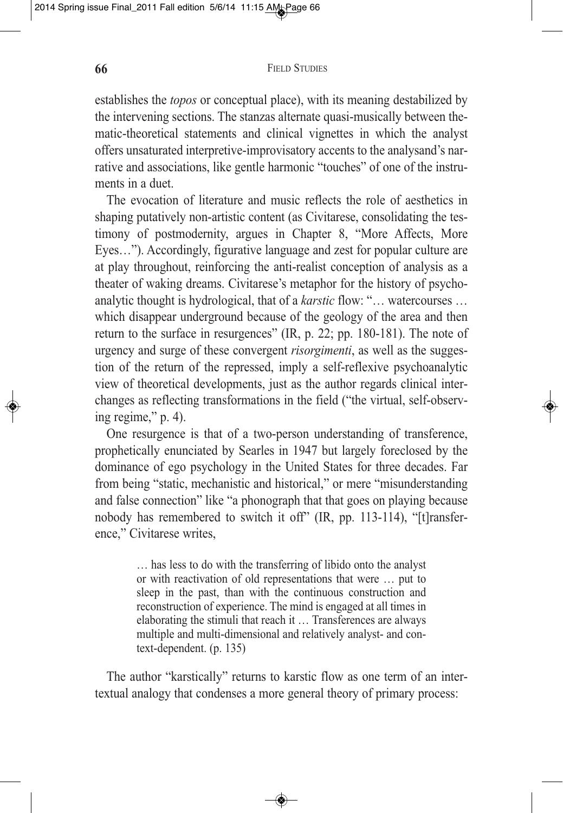establishes the *topos* or conceptual place), with its meaning destabilized by the intervening sections. The stanzas alternate quasi-musically between thematic-theoretical statements and clinical vignettes in which the analyst offers unsaturated interpretive-improvisatory accents to the analysand's narrative and associations, like gentle harmonic "touches" of one of the instruments in a duet.

The evocation of literature and music reflects the role of aesthetics in shaping putatively non-artistic content (as Civitarese, consolidating the testimony of postmodernity, argues in Chapter 8, "More Affects, More Eyes…"). Accordingly, figurative language and zest for popular culture are at play throughout, reinforcing the anti-realist conception of analysis as a theater of waking dreams. Civitarese's metaphor for the history of psychoanalytic thought is hydrological, that of a *karstic* flow: "… watercourses … which disappear underground because of the geology of the area and then return to the surface in resurgences" (IR, p. 22; pp. 180-181). The note of urgency and surge of these convergent *risorgimenti*, as well as the suggestion of the return of the repressed, imply a self-reflexive psychoanalytic view of theoretical developments, just as the author regards clinical interchanges as reflecting transformations in the field ("the virtual, self-observing regime," p. 4).

One resurgence is that of a two-person understanding of transference, prophetically enunciated by Searles in 1947 but largely foreclosed by the dominance of ego psychology in the United States for three decades. Far from being "static, mechanistic and historical," or mere "misunderstanding and false connection" like "a phonograph that that goes on playing because nobody has remembered to switch it off" (IR, pp. 113-114), "[t]ransference," Civitarese writes,

> … has less to do with the transferring of libido onto the analyst or with reactivation of old representations that were … put to sleep in the past, than with the continuous construction and reconstruction of experience. The mind is engaged at all times in elaborating the stimuli that reach it … Transferences are always multiple and multi-dimensional and relatively analyst- and context-dependent. (p. 135)

The author "karstically" returns to karstic flow as one term of an intertextual analogy that condenses a more general theory of primary process: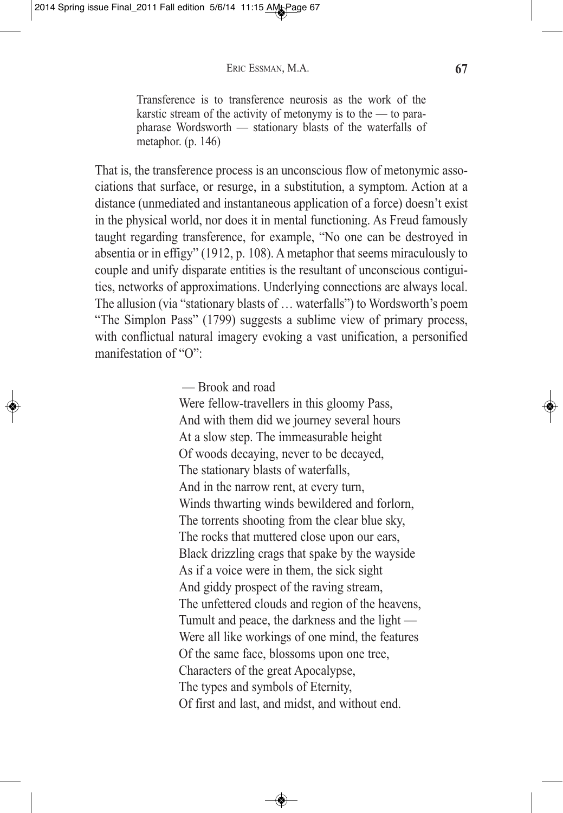Transference is to transference neurosis as the work of the karstic stream of the activity of metonymy is to the — to parapharase Wordsworth — stationary blasts of the waterfalls of metaphor. (p. 146)

That is, the transference process is an unconscious flow of metonymic associations that surface, or resurge, in a substitution, a symptom. Action at a distance (unmediated and instantaneous application of a force) doesn't exist in the physical world, nor does it in mental functioning. As Freud famously taught regarding transference, for example, "No one can be destroyed in absentia or in effigy" (1912, p. 108). A metaphor that seems miraculously to couple and unify disparate entities is the resultant of unconscious contiguities, networks of approximations. Underlying connections are always local. The allusion (via "stationary blasts of … waterfalls") to Wordsworth's poem "The Simplon Pass" (1799) suggests a sublime view of primary process, with conflictual natural imagery evoking a vast unification, a personified manifestation of "O":

— Brook and road

Were fellow-travellers in this gloomy Pass, And with them did we journey several hours At a slow step. The immeasurable height Of woods decaying, never to be decayed, The stationary blasts of waterfalls, And in the narrow rent, at every turn, Winds thwarting winds bewildered and forlorn, The torrents shooting from the clear blue sky, The rocks that muttered close upon our ears, Black drizzling crags that spake by the wayside As if a voice were in them, the sick sight And giddy prospect of the raving stream, The unfettered clouds and region of the heavens, Tumult and peace, the darkness and the light — Were all like workings of one mind, the features Of the same face, blossoms upon one tree, Characters of the great Apocalypse, The types and symbols of Eternity, Of first and last, and midst, and without end.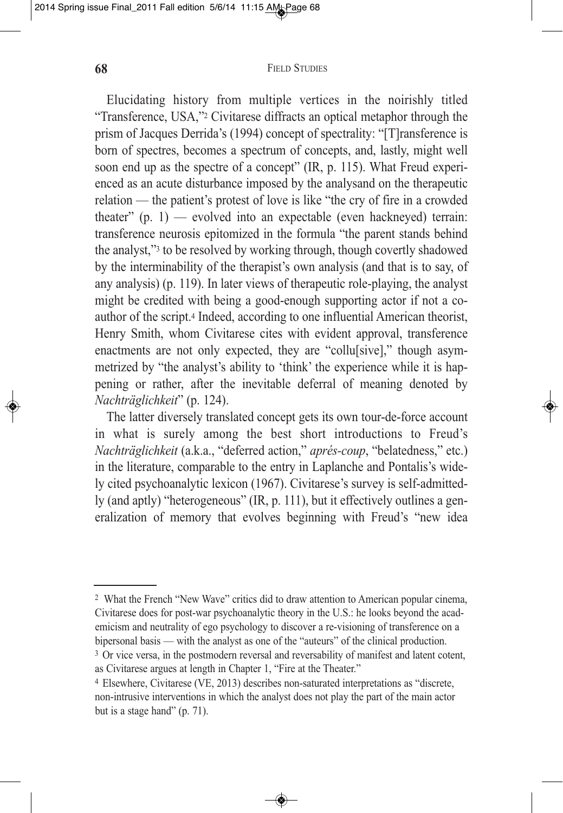Elucidating history from multiple vertices in the noirishly titled "Transference, USA,"2 Civitarese diffracts an optical metaphor through the prism of Jacques Derrida's (1994) concept of spectrality: "[T]ransference is born of spectres, becomes a spectrum of concepts, and, lastly, might well soon end up as the spectre of a concept" (IR, p. 115). What Freud experienced as an acute disturbance imposed by the analysand on the therapeutic relation — the patient's protest of love is like "the cry of fire in a crowded theater"  $(p, 1)$  — evolved into an expectable (even hackneyed) terrain: transference neurosis epitomized in the formula "the parent stands behind the analyst,"3 to be resolved by working through, though covertly shadowed by the interminability of the therapist's own analysis (and that is to say, of any analysis) (p. 119). In later views of therapeutic role-playing, the analyst might be credited with being a good-enough supporting actor if not a coauthor of the script.4 Indeed, according to one influential American theorist, Henry Smith, whom Civitarese cites with evident approval, transference enactments are not only expected, they are "collu[sive]," though asymmetrized by "the analyst's ability to 'think' the experience while it is happening or rather, after the inevitable deferral of meaning denoted by *Nachträglichkeit*" (p. 124).

The latter diversely translated concept gets its own tour-de-force account in what is surely among the best short introductions to Freud's *Nachträglichkeit* (a.k.a., "deferred action," *aprés-coup*, "belatedness," etc.) in the literature, comparable to the entry in Laplanche and Pontalis's widely cited psychoanalytic lexicon (1967). Civitarese's survey is self-admittedly (and aptly) "heterogeneous" (IR, p. 111), but it effectively outlines a generalization of memory that evolves beginning with Freud's "new idea

as Civitarese argues at length in Chapter 1, "Fire at the Theater."

 $\bigcirc$ 

<sup>2</sup> What the French "New Wave" critics did to draw attention to American popular cinema, Civitarese does for post-war psychoanalytic theory in the U.S.: he looks beyond the academicism and neutrality of ego psychology to discover a re-visioning of transference on a bipersonal basis — with the analyst as one of the "auteurs" of the clinical production. <sup>3</sup> Or vice versa, in the postmodern reversal and reversability of manifest and latent cotent,

<sup>4</sup> Elsewhere, Civitarese (VE, 2013) describes non-saturated interpretations as "discrete, non-intrusive interventions in which the analyst does not play the part of the main actor but is a stage hand" (p. 71).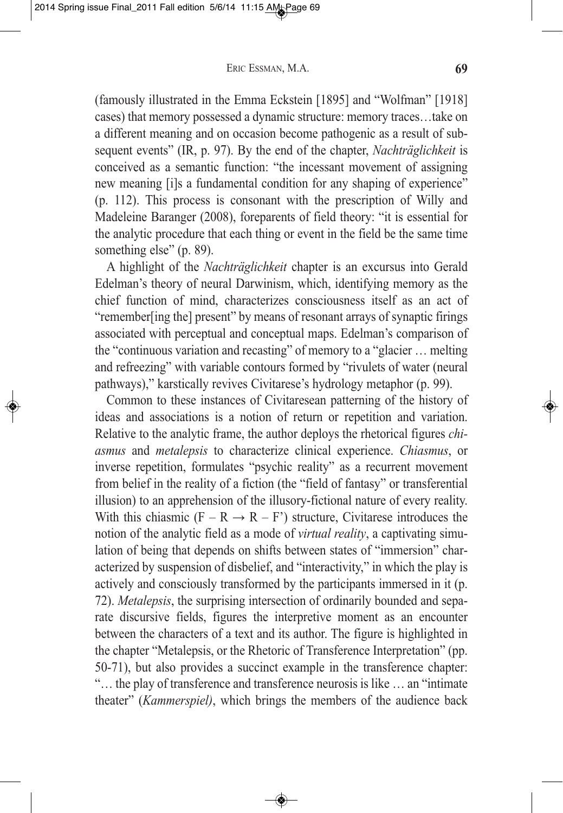(famously illustrated in the Emma Eckstein [1895] and "Wolfman" [1918] cases) that memory possessed a dynamic structure: memory traces…take on a different meaning and on occasion become pathogenic as a result of subsequent events" (IR, p. 97). By the end of the chapter, *Nachträglichkeit* is conceived as a semantic function: "the incessant movement of assigning new meaning [i]s a fundamental condition for any shaping of experience" (p. 112). This process is consonant with the prescription of Willy and Madeleine Baranger (2008), foreparents of field theory: "it is essential for the analytic procedure that each thing or event in the field be the same time something else" (p. 89).

A highlight of the *Nachträglichkeit* chapter is an excursus into Gerald Edelman's theory of neural Darwinism, which, identifying memory as the chief function of mind, characterizes consciousness itself as an act of "remember[ing the] present" by means of resonant arrays of synaptic firings associated with perceptual and conceptual maps. Edelman's comparison of the "continuous variation and recasting" of memory to a "glacier … melting and refreezing" with variable contours formed by "rivulets of water (neural pathways)," karstically revives Civitarese's hydrology metaphor (p. 99).

Common to these instances of Civitaresean patterning of the history of ideas and associations is a notion of return or repetition and variation. Relative to the analytic frame, the author deploys the rhetorical figures *chiasmus* and *metalepsis* to characterize clinical experience. *Chiasmus*, or inverse repetition, formulates "psychic reality" as a recurrent movement from belief in the reality of a fiction (the "field of fantasy" or transferential illusion) to an apprehension of the illusory-fictional nature of every reality. With this chiasmic  $(F - R \rightarrow R - F')$  structure, Civitarese introduces the notion of the analytic field as a mode of *virtual reality*, a captivating simulation of being that depends on shifts between states of "immersion" characterized by suspension of disbelief, and "interactivity," in which the play is actively and consciously transformed by the participants immersed in it (p. 72). *Metalepsis*, the surprising intersection of ordinarily bounded and separate discursive fields, figures the interpretive moment as an encounter between the characters of a text and its author. The figure is highlighted in the chapter "Metalepsis, or the Rhetoric of Transference Interpretation" (pp. 50-71), but also provides a succinct example in the transference chapter: "… the play of transference and transference neurosis is like … an "intimate theater" (*Kammerspiel)*, which brings the members of the audience back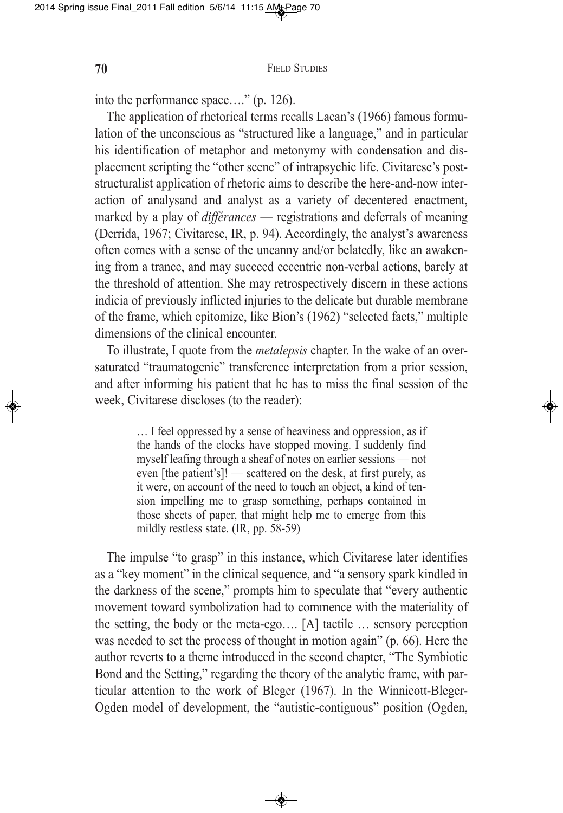into the performance space…." (p. 126).

The application of rhetorical terms recalls Lacan's (1966) famous formulation of the unconscious as "structured like a language," and in particular his identification of metaphor and metonymy with condensation and displacement scripting the "other scene" of intrapsychic life. Civitarese's poststructuralist application of rhetoric aims to describe the here-and-now interaction of analysand and analyst as a variety of decentered enactment, marked by a play of *différances* — registrations and deferrals of meaning (Derrida, 1967; Civitarese, IR, p. 94). Accordingly, the analyst's awareness often comes with a sense of the uncanny and/or belatedly, like an awakening from a trance, and may succeed eccentric non-verbal actions, barely at the threshold of attention. She may retrospectively discern in these actions indicia of previously inflicted injuries to the delicate but durable membrane of the frame, which epitomize, like Bion's (1962) "selected facts," multiple dimensions of the clinical encounter.

To illustrate, I quote from the *metalepsis* chapter. In the wake of an oversaturated "traumatogenic" transference interpretation from a prior session, and after informing his patient that he has to miss the final session of the week, Civitarese discloses (to the reader):

> … I feel oppressed by a sense of heaviness and oppression, as if the hands of the clocks have stopped moving. I suddenly find myself leafing through a sheaf of notes on earlier sessions — not even [the patient's]! — scattered on the desk, at first purely, as it were, on account of the need to touch an object, a kind of tension impelling me to grasp something, perhaps contained in those sheets of paper, that might help me to emerge from this mildly restless state. (IR, pp. 58-59)

The impulse "to grasp" in this instance, which Civitarese later identifies as a "key moment" in the clinical sequence, and "a sensory spark kindled in the darkness of the scene," prompts him to speculate that "every authentic movement toward symbolization had to commence with the materiality of the setting, the body or the meta-ego…. [A] tactile … sensory perception was needed to set the process of thought in motion again" (p. 66). Here the author reverts to a theme introduced in the second chapter, "The Symbiotic Bond and the Setting," regarding the theory of the analytic frame, with particular attention to the work of Bleger (1967). In the Winnicott-Bleger-Ogden model of development, the "autistic-contiguous" position (Ogden,

 $\bigcirc$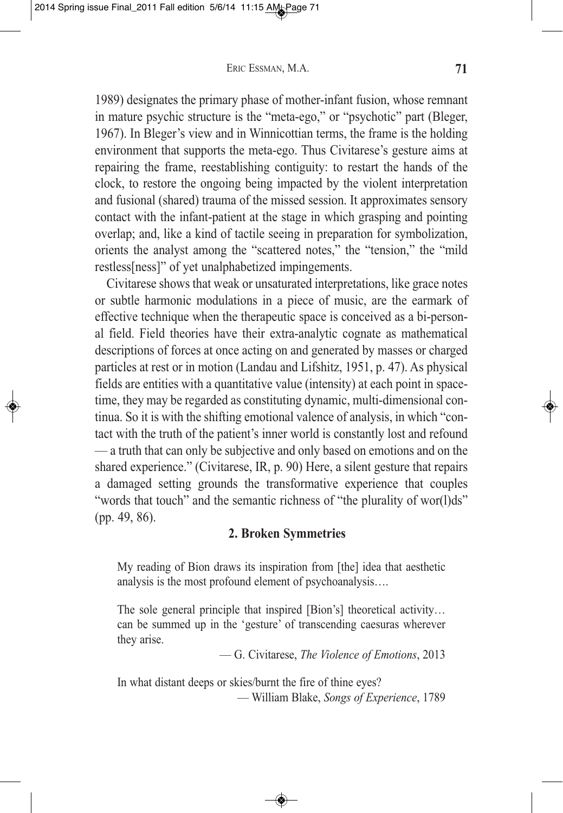1989) designates the primary phase of mother-infant fusion, whose remnant in mature psychic structure is the "meta-ego," or "psychotic" part (Bleger, 1967). In Bleger's view and in Winnicottian terms, the frame is the holding environment that supports the meta-ego. Thus Civitarese's gesture aims at repairing the frame, reestablishing contiguity: to restart the hands of the clock, to restore the ongoing being impacted by the violent interpretation and fusional (shared) trauma of the missed session. It approximates sensory contact with the infant-patient at the stage in which grasping and pointing overlap; and, like a kind of tactile seeing in preparation for symbolization, orients the analyst among the "scattered notes," the "tension," the "mild restless[ness]" of yet unalphabetized impingements.

Civitarese shows that weak or unsaturated interpretations, like grace notes or subtle harmonic modulations in a piece of music, are the earmark of effective technique when the therapeutic space is conceived as a bi-personal field. Field theories have their extra-analytic cognate as mathematical descriptions of forces at once acting on and generated by masses or charged particles at rest or in motion (Landau and Lifshitz, 1951, p. 47). As physical fields are entities with a quantitative value (intensity) at each point in spacetime, they may be regarded as constituting dynamic, multi-dimensional continua. So it is with the shifting emotional valence of analysis, in which "contact with the truth of the patient's inner world is constantly lost and refound — a truth that can only be subjective and only based on emotions and on the shared experience." (Civitarese, IR, p. 90) Here, a silent gesture that repairs a damaged setting grounds the transformative experience that couples "words that touch" and the semantic richness of "the plurality of wor(l)ds" (pp. 49, 86).

# **2. Broken Symmetries**

My reading of Bion draws its inspiration from [the] idea that aesthetic analysis is the most profound element of psychoanalysis….

The sole general principle that inspired [Bion's] theoretical activity… can be summed up in the 'gesture' of transcending caesuras wherever they arise.

— G. Civitarese, *The Violence of Emotions*, 2013

In what distant deeps or skies/burnt the fire of thine eyes? — William Blake, *Songs of Experience*, 1789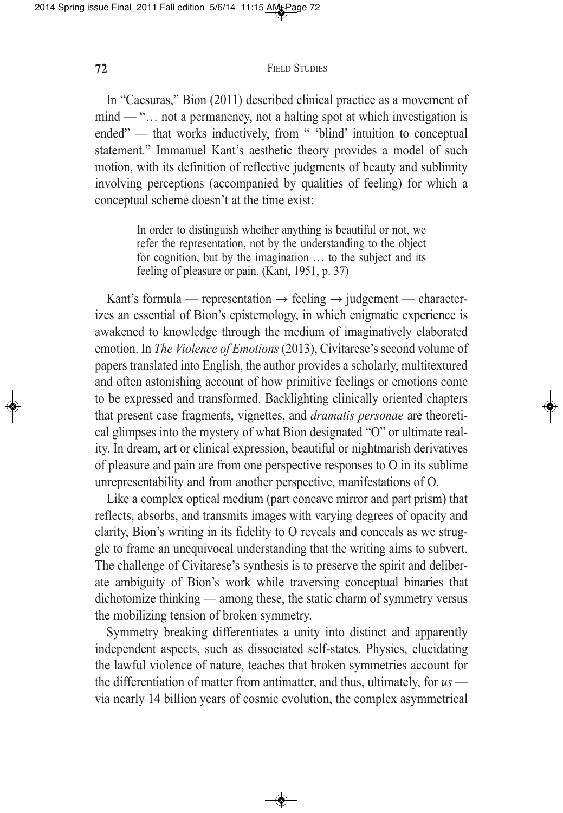In "Caesuras," Bion (2011) described clinical practice as a movement of mind — "… not a permanency, not a halting spot at which investigation is ended" — that works inductively, from " 'blind' intuition to conceptual statement." Immanuel Kant's aesthetic theory provides a model of such motion, with its definition of reflective judgments of beauty and sublimity involving perceptions (accompanied by qualities of feeling) for which a conceptual scheme doesn't at the time exist:

> In order to distinguish whether anything is beautiful or not, we refer the representation, not by the understanding to the object for cognition, but by the imagination … to the subject and its feeling of pleasure or pain. (Kant, 1951, p. 37)

Kant's formula — representation  $\rightarrow$  feeling  $\rightarrow$  judgement — characterizes an essential of Bion's epistemology, in which enigmatic experience is awakened to knowledge through the medium of imaginatively elaborated emotion. In *The Violence of Emotions* (2013), Civitarese's second volume of papers translated into English, the author provides a scholarly, multitextured and often astonishing account of how primitive feelings or emotions come to be expressed and transformed. Backlighting clinically oriented chapters that present case fragments, vignettes, and *dramatis personae* are theoretical glimpses into the mystery of what Bion designated "O" or ultimate reality. In dream, art or clinical expression, beautiful or nightmarish derivatives of pleasure and pain are from one perspective responses to O in its sublime unrepresentability and from another perspective, manifestations of O.

Like a complex optical medium (part concave mirror and part prism) that reflects, absorbs, and transmits images with varying degrees of opacity and clarity, Bion's writing in its fidelity to O reveals and conceals as we struggle to frame an unequivocal understanding that the writing aims to subvert. The challenge of Civitarese's synthesis is to preserve the spirit and deliberate ambiguity of Bion's work while traversing conceptual binaries that dichotomize thinking — among these, the static charm of symmetry versus the mobilizing tension of broken symmetry.

Symmetry breaking differentiates a unity into distinct and apparently independent aspects, such as dissociated self-states. Physics, elucidating the lawful violence of nature, teaches that broken symmetries account for the differentiation of matter from antimatter, and thus, ultimately, for *us* via nearly 14 billion years of cosmic evolution, the complex asymmetrical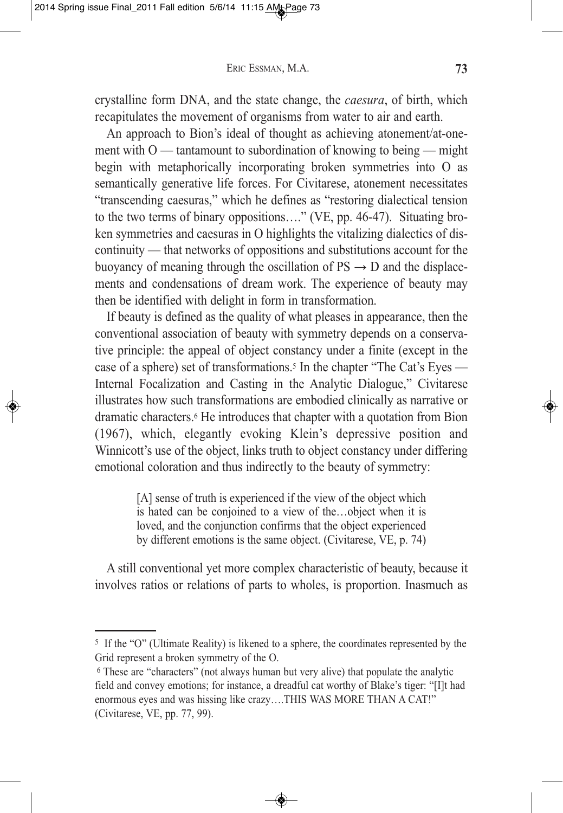crystalline form DNA, and the state change, the *caesura*, of birth, which recapitulates the movement of organisms from water to air and earth.

An approach to Bion's ideal of thought as achieving atonement/at-onement with  $O$  — tantamount to subordination of knowing to being — might begin with metaphorically incorporating broken symmetries into O as semantically generative life forces. For Civitarese, atonement necessitates "transcending caesuras," which he defines as "restoring dialectical tension to the two terms of binary oppositions…." (VE, pp. 46-47). Situating broken symmetries and caesuras in O highlights the vitalizing dialectics of discontinuity — that networks of oppositions and substitutions account for the buoyancy of meaning through the oscillation of  $PS \rightarrow D$  and the displacements and condensations of dream work. The experience of beauty may then be identified with delight in form in transformation.

If beauty is defined as the quality of what pleases in appearance, then the conventional association of beauty with symmetry depends on a conservative principle: the appeal of object constancy under a finite (except in the case of a sphere) set of transformations.<sup>5</sup> In the chapter "The Cat's Eyes — Internal Focalization and Casting in the Analytic Dialogue," Civitarese illustrates how such transformations are embodied clinically as narrative or dramatic characters.6 He introduces that chapter with a quotation from Bion (1967), which, elegantly evoking Klein's depressive position and Winnicott's use of the object, links truth to object constancy under differing emotional coloration and thus indirectly to the beauty of symmetry:

> [A] sense of truth is experienced if the view of the object which is hated can be conjoined to a view of the…object when it is loved, and the conjunction confirms that the object experienced by different emotions is the same object. (Civitarese, VE, p. 74)

A still conventional yet more complex characteristic of beauty, because it involves ratios or relations of parts to wholes, is proportion. Inasmuch as

<sup>5</sup> If the "O" (Ultimate Reality) is likened to a sphere, the coordinates represented by the Grid represent a broken symmetry of the O.

<sup>6</sup> These are "characters" (not always human but very alive) that populate the analytic field and convey emotions; for instance, a dreadful cat worthy of Blake's tiger: "[I]t had enormous eyes and was hissing like crazy….THIS WAS MORE THAN A CAT!" (Civitarese, VE, pp. 77, 99).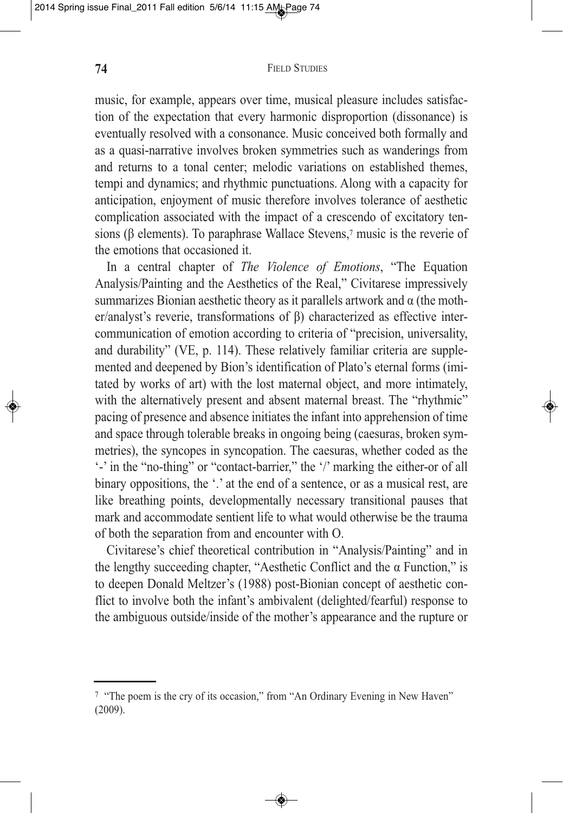music, for example, appears over time, musical pleasure includes satisfaction of the expectation that every harmonic disproportion (dissonance) is eventually resolved with a consonance. Music conceived both formally and as a quasi-narrative involves broken symmetries such as wanderings from and returns to a tonal center; melodic variations on established themes, tempi and dynamics; and rhythmic punctuations. Along with a capacity for anticipation, enjoyment of music therefore involves tolerance of aesthetic complication associated with the impact of a crescendo of excitatory tensions (β elements). To paraphrase Wallace Stevens,7 music is the reverie of the emotions that occasioned it.

In a central chapter of *The Violence of Emotions*, "The Equation Analysis/Painting and the Aesthetics of the Real," Civitarese impressively summarizes Bionian aesthetic theory as it parallels artwork and  $\alpha$  (the mother/analyst's reverie, transformations of β) characterized as effective intercommunication of emotion according to criteria of "precision, universality, and durability" (VE, p. 114). These relatively familiar criteria are supplemented and deepened by Bion's identification of Plato's eternal forms (imitated by works of art) with the lost maternal object, and more intimately, with the alternatively present and absent maternal breast. The "rhythmic" pacing of presence and absence initiates the infant into apprehension of time and space through tolerable breaks in ongoing being (caesuras, broken symmetries), the syncopes in syncopation. The caesuras, whether coded as the '-' in the "no-thing" or "contact-barrier," the '/' marking the either-or of all binary oppositions, the '.' at the end of a sentence, or as a musical rest, are like breathing points, developmentally necessary transitional pauses that mark and accommodate sentient life to what would otherwise be the trauma of both the separation from and encounter with O.

Civitarese's chief theoretical contribution in "Analysis/Painting" and in the lengthy succeeding chapter, "Aesthetic Conflict and the  $\alpha$  Function," is to deepen Donald Meltzer's (1988) post-Bionian concept of aesthetic conflict to involve both the infant's ambivalent (delighted/fearful) response to the ambiguous outside/inside of the mother's appearance and the rupture or

<sup>7</sup> "The poem is the cry of its occasion," from "An Ordinary Evening in New Haven" (2009).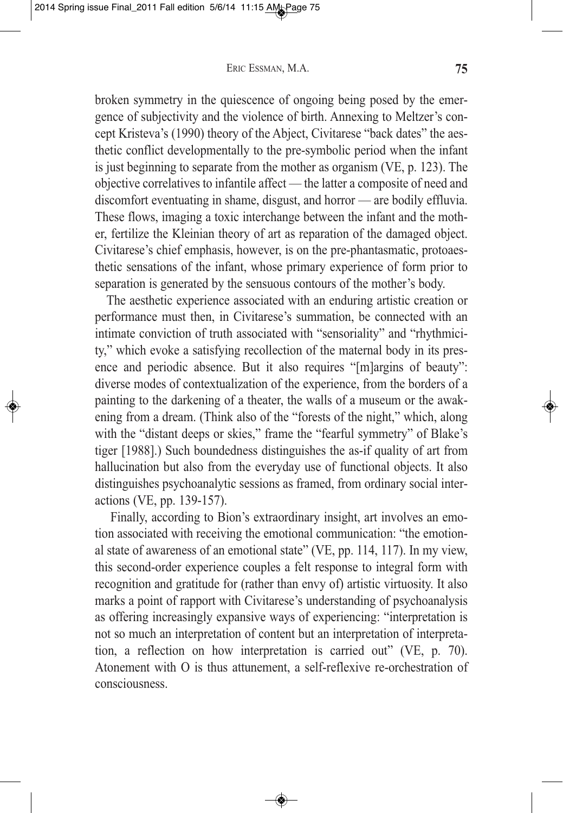broken symmetry in the quiescence of ongoing being posed by the emergence of subjectivity and the violence of birth. Annexing to Meltzer's concept Kristeva's (1990) theory of the Abject, Civitarese "back dates" the aesthetic conflict developmentally to the pre-symbolic period when the infant is just beginning to separate from the mother as organism (VE, p. 123). The objective correlatives to infantile affect — the latter a composite of need and discomfort eventuating in shame, disgust, and horror — are bodily effluvia. These flows, imaging a toxic interchange between the infant and the mother, fertilize the Kleinian theory of art as reparation of the damaged object. Civitarese's chief emphasis, however, is on the pre-phantasmatic, protoaesthetic sensations of the infant, whose primary experience of form prior to separation is generated by the sensuous contours of the mother's body.

The aesthetic experience associated with an enduring artistic creation or performance must then, in Civitarese's summation, be connected with an intimate conviction of truth associated with "sensoriality" and "rhythmicity," which evoke a satisfying recollection of the maternal body in its presence and periodic absence. But it also requires "[m]argins of beauty": diverse modes of contextualization of the experience, from the borders of a painting to the darkening of a theater, the walls of a museum or the awakening from a dream. (Think also of the "forests of the night," which, along with the "distant deeps or skies," frame the "fearful symmetry" of Blake's tiger [1988].) Such boundedness distinguishes the as-if quality of art from hallucination but also from the everyday use of functional objects. It also distinguishes psychoanalytic sessions as framed, from ordinary social interactions (VE, pp. 139-157).

Finally, according to Bion's extraordinary insight, art involves an emotion associated with receiving the emotional communication: "the emotional state of awareness of an emotional state" (VE, pp. 114, 117). In my view, this second-order experience couples a felt response to integral form with recognition and gratitude for (rather than envy of) artistic virtuosity. It also marks a point of rapport with Civitarese's understanding of psychoanalysis as offering increasingly expansive ways of experiencing: "interpretation is not so much an interpretation of content but an interpretation of interpretation, a reflection on how interpretation is carried out" (VE, p. 70). Atonement with O is thus attunement, a self-reflexive re-orchestration of consciousness.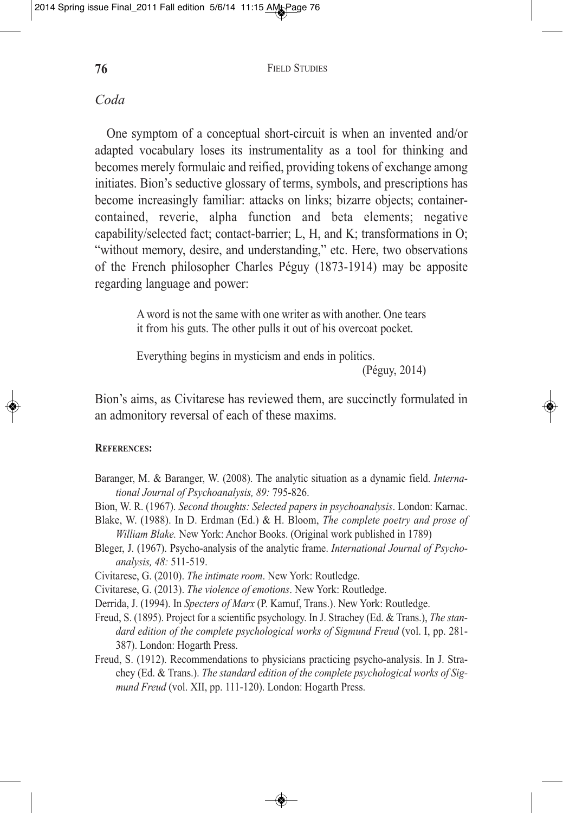## *Coda*

One symptom of a conceptual short-circuit is when an invented and/or adapted vocabulary loses its instrumentality as a tool for thinking and becomes merely formulaic and reified, providing tokens of exchange among initiates. Bion's seductive glossary of terms, symbols, and prescriptions has become increasingly familiar: attacks on links; bizarre objects; containercontained, reverie, alpha function and beta elements; negative capability/selected fact; contact-barrier; L, H, and K; transformations in O; "without memory, desire, and understanding," etc. Here, two observations of the French philosopher Charles Péguy (1873-1914) may be apposite regarding language and power:

> A word is not the same with one writer as with another. One tears it from his guts. The other pulls it out of his overcoat pocket.

Everything begins in mysticism and ends in politics.

(Péguy, 2014)

Bion's aims, as Civitarese has reviewed them, are succinctly formulated in an admonitory reversal of each of these maxims.

## **REFERENCES:**

Baranger, M. & Baranger, W. (2008). The analytic situation as a dynamic field. *International Journal of Psychoanalysis, 89:* 795-826.

Bion, W. R. (1967). *Second thoughts: Selected papers in psychoanalysis*. London: Karnac.

Blake, W. (1988). In D. Erdman (Ed.) & H. Bloom, *The complete poetry and prose of William Blake.* New York: Anchor Books. (Original work published in 1789)

Bleger, J. (1967). Psycho-analysis of the analytic frame. *International Journal of Psychoanalysis, 48:* 511-519.

Civitarese, G. (2010). *The intimate room*. New York: Routledge.

Civitarese, G. (2013). *The violence of emotions*. New York: Routledge.

Derrida, J. (1994). In *Specters of Marx* (P. Kamuf, Trans.). New York: Routledge.

- Freud, S. (1895). Project for a scientific psychology. In J. Strachey (Ed. & Trans.), *The standard edition of the complete psychological works of Sigmund Freud* (vol. I, pp. 281- 387). London: Hogarth Press.
- Freud, S. (1912). Recommendations to physicians practicing psycho-analysis. In J. Strachey (Ed. & Trans.). *The standard edition of the complete psychological works of Sigmund Freud* (vol. XII, pp. 111-120). London: Hogarth Press.